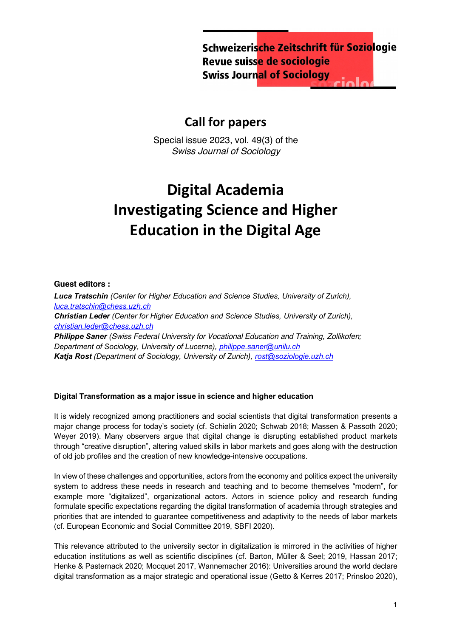Schweizerische Zeitschrift für Soziologie Revue suisse de sociologie **Swiss Journal of Sociology** 

## **Call for papers**

Special issue 2023, vol. 49(3) of the *Swiss Journal of Sociology*

# **Digital Academia Investigating Science and Higher Education in the Digital Age**

#### **Guest editors :**

*Luca Tratschin (Center for Higher Education and Science Studies, University of Zurich), luca.tratschin@chess.uzh.ch Christian Leder (Center for Higher Education and Science Studies, University of Zurich), christian.leder@chess.uzh.ch Philippe Saner (Swiss Federal University for Vocational Education and Training, Zollikofen; Department of Sociology, University of Lucerne), philippe.saner@unilu.ch Katja Rost (Department of Sociology, University of Zurich), rost@soziologie.uzh.ch*

### **Digital Transformation as a major issue in science and higher education**

It is widely recognized among practitioners and social scientists that digital transformation presents a major change process for today's society (cf. Schiølin 2020; Schwab 2018; Massen & Passoth 2020; Weyer 2019). Many observers argue that digital change is disrupting established product markets through "creative disruption", altering valued skills in labor markets and goes along with the destruction of old job profiles and the creation of new knowledge-intensive occupations.

In view of these challenges and opportunities, actors from the economy and politics expect the university system to address these needs in research and teaching and to become themselves "modern", for example more "digitalized", organizational actors. Actors in science policy and research funding formulate specific expectations regarding the digital transformation of academia through strategies and priorities that are intended to guarantee competitiveness and adaptivity to the needs of labor markets (cf. European Economic and Social Committee 2019, SBFI 2020).

This relevance attributed to the university sector in digitalization is mirrored in the activities of higher education institutions as well as scientific disciplines (cf. Barton, Müller & Seel; 2019, Hassan 2017; Henke & Pasternack 2020; Mocquet 2017, Wannemacher 2016): Universities around the world declare digital transformation as a major strategic and operational issue (Getto & Kerres 2017; Prinsloo 2020),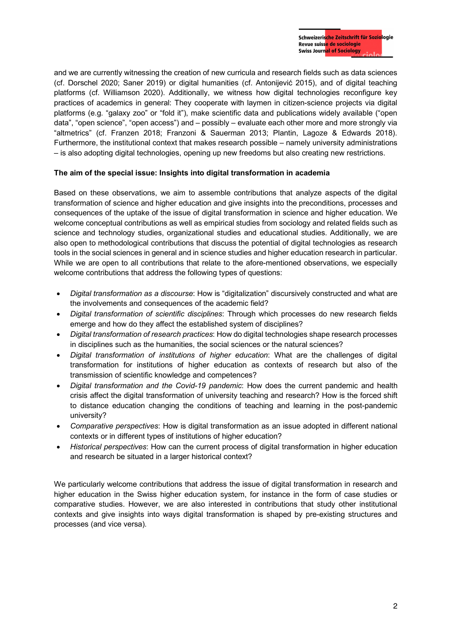and we are currently witnessing the creation of new curricula and research fields such as data sciences (cf. Dorschel 2020; Saner 2019) or digital humanities (cf. Antonijević 2015), and of digital teaching platforms (cf. Williamson 2020). Additionally, we witness how digital technologies reconfigure key practices of academics in general: They cooperate with laymen in citizen-science projects via digital platforms (e.g. "galaxy zoo" or "fold it"), make scientific data and publications widely available ("open data", "open science", "open access") and – possibly – evaluate each other more and more strongly via "altmetrics" (cf. Franzen 2018; Franzoni & Sauerman 2013; Plantin, Lagoze & Edwards 2018). Furthermore, the institutional context that makes research possible – namely university administrations – is also adopting digital technologies, opening up new freedoms but also creating new restrictions.

#### **The aim of the special issue: Insights into digital transformation in academia**

Based on these observations, we aim to assemble contributions that analyze aspects of the digital transformation of science and higher education and give insights into the preconditions, processes and consequences of the uptake of the issue of digital transformation in science and higher education. We welcome conceptual contributions as well as empirical studies from sociology and related fields such as science and technology studies, organizational studies and educational studies. Additionally, we are also open to methodological contributions that discuss the potential of digital technologies as research tools in the social sciences in general and in science studies and higher education research in particular. While we are open to all contributions that relate to the afore-mentioned observations, we especially welcome contributions that address the following types of questions:

- *Digital transformation as a discourse*: How is "digitalization" discursively constructed and what are the involvements and consequences of the academic field?
- *Digital transformation of scientific disciplines*: Through which processes do new research fields emerge and how do they affect the established system of disciplines?
- *Digital transformation of research practices*: How do digital technologies shape research processes in disciplines such as the humanities, the social sciences or the natural sciences?
- *Digital transformation of institutions of higher education*: What are the challenges of digital transformation for institutions of higher education as contexts of research but also of the transmission of scientific knowledge and competences?
- *Digital transformation and the Covid-19 pandemic*: How does the current pandemic and health crisis affect the digital transformation of university teaching and research? How is the forced shift to distance education changing the conditions of teaching and learning in the post-pandemic university?
- *Comparative perspectives*: How is digital transformation as an issue adopted in different national contexts or in different types of institutions of higher education?
- *Historical perspectives*: How can the current process of digital transformation in higher education and research be situated in a larger historical context?

We particularly welcome contributions that address the issue of digital transformation in research and higher education in the Swiss higher education system, for instance in the form of case studies or comparative studies. However, we are also interested in contributions that study other institutional contexts and give insights into ways digital transformation is shaped by pre-existing structures and processes (and vice versa).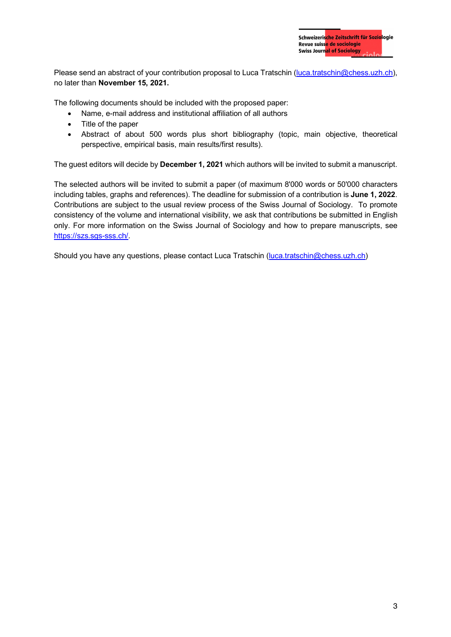Please send an abstract of your contribution proposal to Luca Tratschin (luca.tratschin@chess.uzh.ch), no later than **November 15, 2021.**

The following documents should be included with the proposed paper:

- Name, e-mail address and institutional affiliation of all authors
- Title of the paper
- Abstract of about 500 words plus short bibliography (topic, main objective, theoretical perspective, empirical basis, main results/first results).

The guest editors will decide by **December 1, 2021** which authors will be invited to submit a manuscript.

The selected authors will be invited to submit a paper (of maximum 8'000 words or 50'000 characters including tables, graphs and references). The deadline for submission of a contribution is **June 1, 2022**. Contributions are subject to the usual review process of the Swiss Journal of Sociology. To promote consistency of the volume and international visibility, we ask that contributions be submitted in English only. For more information on the Swiss Journal of Sociology and how to prepare manuscripts, see https://szs.sgs-sss.ch/.

Should you have any questions, please contact Luca Tratschin (luca.tratschin@chess.uzh.ch)